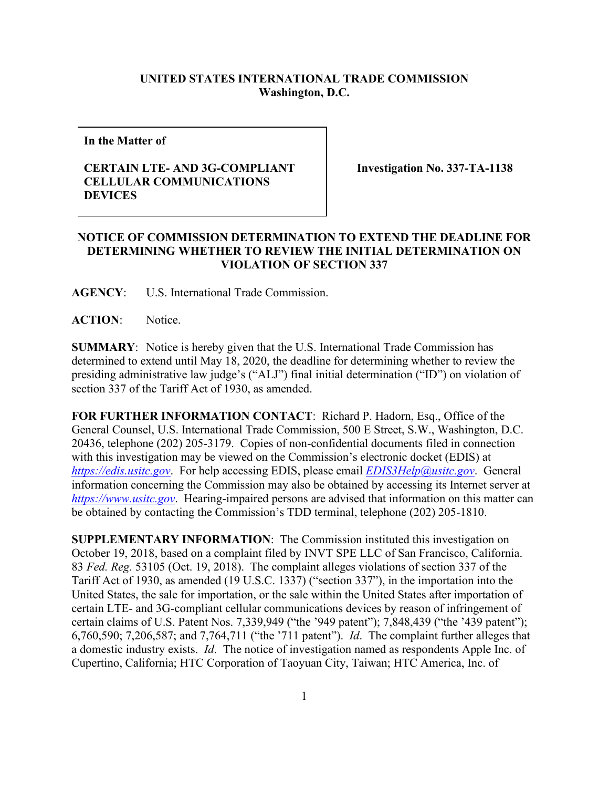## **UNITED STATES INTERNATIONAL TRADE COMMISSION Washington, D.C.**

**In the Matter of**

## **CERTAIN LTE- AND 3G-COMPLIANT CELLULAR COMMUNICATIONS DEVICES**

**Investigation No. 337-TA-1138**

## **NOTICE OF COMMISSION DETERMINATION TO EXTEND THE DEADLINE FOR DETERMINING WHETHER TO REVIEW THE INITIAL DETERMINATION ON VIOLATION OF SECTION 337**

**AGENCY**: U.S. International Trade Commission.

ACTION: Notice.

**SUMMARY**: Notice is hereby given that the U.S. International Trade Commission has determined to extend until May 18, 2020, the deadline for determining whether to review the presiding administrative law judge's ("ALJ") final initial determination ("ID") on violation of section 337 of the Tariff Act of 1930, as amended.

**FOR FURTHER INFORMATION CONTACT**: Richard P. Hadorn, Esq., Office of the General Counsel, U.S. International Trade Commission, 500 E Street, S.W., Washington, D.C. 20436, telephone (202) 205-3179. Copies of non-confidential documents filed in connection with this investigation may be viewed on the Commission's electronic docket (EDIS) at *[https://edis.usitc.gov](https://edis.usitc.gov/)*. For help accessing EDIS, please email *[EDIS3Help@usitc.gov](mailto:EDIS3Help@usitc.gov)*. General information concerning the Commission may also be obtained by accessing its Internet server at *[https://www.usitc.gov](https://www.usitc.gov/)*. Hearing-impaired persons are advised that information on this matter can be obtained by contacting the Commission's TDD terminal, telephone (202) 205-1810.

**SUPPLEMENTARY INFORMATION**: The Commission instituted this investigation on October 19, 2018, based on a complaint filed by INVT SPE LLC of San Francisco, California. 83 *Fed. Reg.* 53105 (Oct. 19, 2018). The complaint alleges violations of section 337 of the Tariff Act of 1930, as amended (19 U.S.C. 1337) ("section 337"), in the importation into the United States, the sale for importation, or the sale within the United States after importation of certain LTE- and 3G-compliant cellular communications devices by reason of infringement of certain claims of U.S. Patent Nos. 7,339,949 ("the '949 patent"); 7,848,439 ("the '439 patent"); 6,760,590; 7,206,587; and 7,764,711 ("the '711 patent"). *Id*. The complaint further alleges that a domestic industry exists. *Id*. The notice of investigation named as respondents Apple Inc. of Cupertino, California; HTC Corporation of Taoyuan City, Taiwan; HTC America, Inc. of